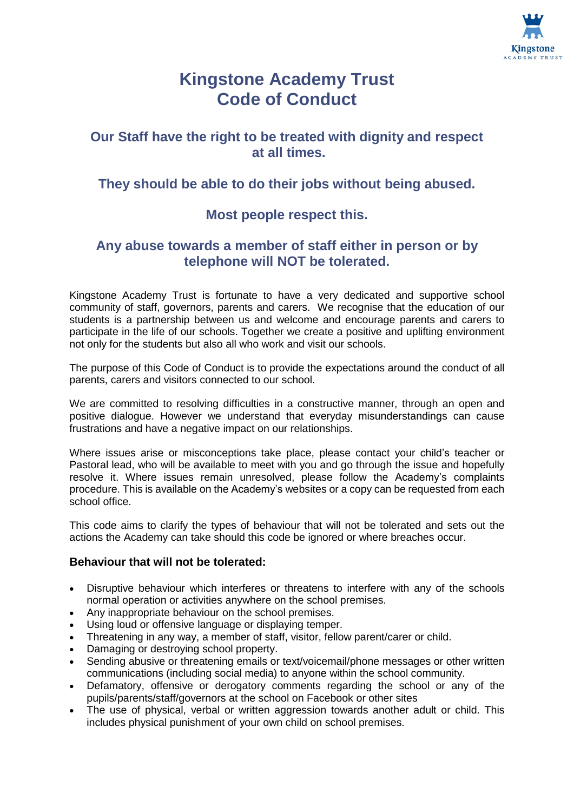

# **Kingstone Academy Trust Code of Conduct**

# **Our Staff have the right to be treated with dignity and respect at all times.**

# **They should be able to do their jobs without being abused.**

# **Most people respect this.**

## **Any abuse towards a member of staff either in person or by telephone will NOT be tolerated.**

Kingstone Academy Trust is fortunate to have a very dedicated and supportive school community of staff, governors, parents and carers. We recognise that the education of our students is a partnership between us and welcome and encourage parents and carers to participate in the life of our schools. Together we create a positive and uplifting environment not only for the students but also all who work and visit our schools.

The purpose of this Code of Conduct is to provide the expectations around the conduct of all parents, carers and visitors connected to our school.

We are committed to resolving difficulties in a constructive manner, through an open and positive dialogue. However we understand that everyday misunderstandings can cause frustrations and have a negative impact on our relationships.

Where issues arise or misconceptions take place, please contact your child's teacher or Pastoral lead, who will be available to meet with you and go through the issue and hopefully resolve it. Where issues remain unresolved, please follow the Academy's complaints procedure. This is available on the Academy's websites or a copy can be requested from each school office.

This code aims to clarify the types of behaviour that will not be tolerated and sets out the actions the Academy can take should this code be ignored or where breaches occur.

## **Behaviour that will not be tolerated:**

- Disruptive behaviour which interferes or threatens to interfere with any of the schools normal operation or activities anywhere on the school premises.
- Any inappropriate behaviour on the school premises.
- Using loud or offensive language or displaying temper.
- Threatening in any way, a member of staff, visitor, fellow parent/carer or child.
- Damaging or destroying school property.
- Sending abusive or threatening emails or text/voicemail/phone messages or other written communications (including social media) to anyone within the school community.
- Defamatory, offensive or derogatory comments regarding the school or any of the pupils/parents/staff/governors at the school on Facebook or other sites
- The use of physical, verbal or written aggression towards another adult or child. This includes physical punishment of your own child on school premises.